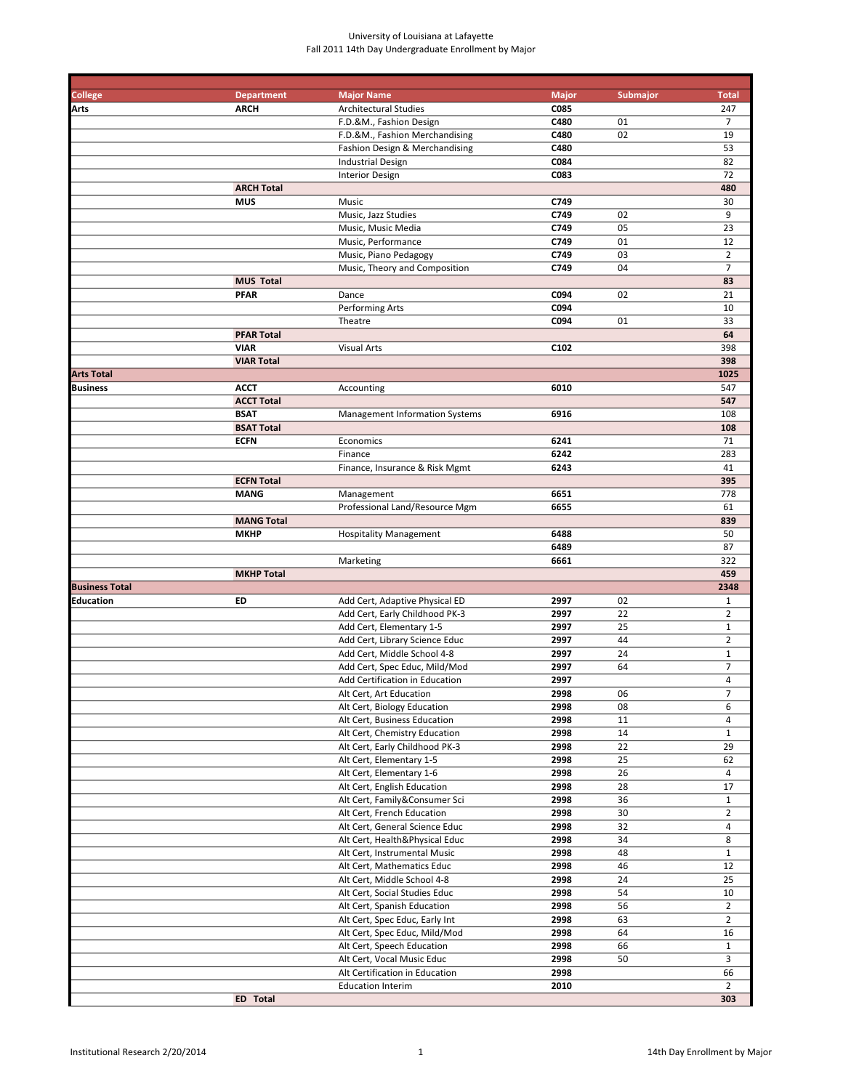| <b>College</b>        | <b>Department</b>                | <b>Major Name</b>                     | <b>Major</b> | <b>Submajor</b> | <b>Total</b>             |
|-----------------------|----------------------------------|---------------------------------------|--------------|-----------------|--------------------------|
| Arts                  | <b>ARCH</b>                      | <b>Architectural Studies</b>          | C085         |                 | 247                      |
|                       |                                  | F.D.&M., Fashion Design               | C480         | 01              | 7                        |
|                       |                                  | F.D.&M., Fashion Merchandising        | C480         | 02              | 19                       |
|                       |                                  | Fashion Design & Merchandising        | C480         |                 | 53                       |
|                       |                                  | <b>Industrial Design</b>              | C084         |                 | 82                       |
|                       |                                  | <b>Interior Design</b>                | C083         |                 | 72                       |
|                       | <b>ARCH Total</b>                |                                       |              |                 | 480                      |
|                       | <b>MUS</b>                       | Music                                 | C749         |                 | 30                       |
|                       |                                  | Music, Jazz Studies                   | C749         | 02              | 9                        |
|                       |                                  | Music, Music Media                    | C749         | 05              | 23                       |
|                       |                                  | Music, Performance                    | C749         | 01              | 12                       |
|                       |                                  | Music, Piano Pedagogy                 | C749         | 03              | $\overline{2}$           |
|                       |                                  | Music, Theory and Composition         | C749         | 04              | $\overline{7}$           |
|                       | <b>MUS Total</b>                 |                                       |              |                 | 83                       |
|                       | <b>PFAR</b>                      | Dance                                 | C094         | 02              | 21                       |
|                       |                                  | Performing Arts                       | C094         |                 | 10                       |
|                       |                                  | Theatre                               | C094         | 01              | 33                       |
|                       | <b>PFAR Total</b>                |                                       |              |                 | 64                       |
|                       | <b>VIAR</b>                      | <b>Visual Arts</b>                    | C102         |                 | 398                      |
|                       | <b>VIAR Total</b>                |                                       |              |                 | 398                      |
| <b>Arts Total</b>     |                                  |                                       |              |                 | 1025                     |
| Business              | <b>ACCT</b>                      | Accounting                            | 6010         |                 | 547                      |
|                       | <b>ACCT Total</b>                |                                       |              |                 | 547                      |
|                       | <b>BSAT</b>                      | <b>Management Information Systems</b> | 6916         |                 | 108                      |
|                       | <b>BSAT Total</b>                |                                       |              |                 | 108                      |
|                       | <b>ECFN</b>                      | Economics                             | 6241         |                 | 71                       |
|                       |                                  | Finance                               | 6242         |                 | 283                      |
|                       |                                  | Finance, Insurance & Risk Mgmt        | 6243         |                 | 41                       |
|                       | <b>ECFN Total</b>                |                                       |              |                 | 395                      |
|                       | <b>MANG</b>                      | Management                            | 6651         |                 | 778                      |
|                       |                                  | Professional Land/Resource Mgm        | 6655         |                 | 61<br>839                |
|                       | <b>MANG Total</b><br><b>MKHP</b> | <b>Hospitality Management</b>         | 6488         |                 | 50                       |
|                       |                                  |                                       | 6489         |                 | 87                       |
|                       |                                  | Marketing                             | 6661         |                 | 322                      |
|                       | <b>MKHP Total</b>                |                                       |              |                 | 459                      |
| <b>Business Total</b> |                                  |                                       |              |                 | 2348                     |
| Education             | ED                               | Add Cert, Adaptive Physical ED        | 2997         | 02              | $\mathbf{1}$             |
|                       |                                  | Add Cert, Early Childhood PK-3        | 2997         | 22              | $\overline{2}$           |
|                       |                                  | Add Cert, Elementary 1-5              | 2997         | 25              | $\mathbf 1$              |
|                       |                                  | Add Cert, Library Science Educ        | 2997         | 44              | $\overline{2}$           |
|                       |                                  | Add Cert, Middle School 4-8           | 2997         | 24              | $\mathbf{1}$             |
|                       |                                  | Add Cert, Spec Educ, Mild/Mod         | 2997         | 64              | $\overline{7}$           |
|                       |                                  | Add Certification in Education        | 2997         |                 | $\overline{\mathbf{4}}$  |
|                       |                                  | Alt Cert, Art Education               | 2998         | 06              | $\overline{\phantom{a}}$ |
|                       |                                  | Alt Cert, Biology Education           | 2998         | 08              | 6                        |
|                       |                                  | Alt Cert, Business Education          | 2998         | 11              | $\overline{4}$           |
|                       |                                  | Alt Cert, Chemistry Education         | 2998         | 14              | $\mathbf{1}$             |
|                       |                                  | Alt Cert, Early Childhood PK-3        | 2998         | 22              | 29                       |
|                       |                                  | Alt Cert, Elementary 1-5              | 2998         | 25              | 62                       |
|                       |                                  | Alt Cert, Elementary 1-6              | 2998         | 26              | 4                        |
|                       |                                  | Alt Cert, English Education           | 2998         | 28              | 17                       |
|                       |                                  | Alt Cert, Family&Consumer Sci         | 2998         | 36              | $\mathbf{1}$             |
|                       |                                  | Alt Cert, French Education            | 2998         | 30              | $\overline{2}$           |
|                       |                                  | Alt Cert, General Science Educ        | 2998         | 32              | $\overline{4}$           |
|                       |                                  | Alt Cert, Health&Physical Educ        | 2998         | 34              | 8                        |
|                       |                                  | Alt Cert, Instrumental Music          | 2998         | 48              | $\mathbf{1}$             |
|                       |                                  | Alt Cert, Mathematics Educ            | 2998         | 46              | 12                       |
|                       |                                  | Alt Cert, Middle School 4-8           | 2998         | 24              | 25                       |
|                       |                                  | Alt Cert, Social Studies Educ         | 2998         | 54              | 10                       |
|                       |                                  | Alt Cert, Spanish Education           | 2998         | 56              | $\overline{2}$           |
|                       |                                  | Alt Cert, Spec Educ, Early Int        | 2998         | 63              | $\overline{2}$           |
|                       |                                  | Alt Cert, Spec Educ, Mild/Mod         | 2998         | 64              | 16                       |
|                       |                                  | Alt Cert, Speech Education            | 2998         | 66              | $\mathbf{1}$             |
|                       |                                  | Alt Cert, Vocal Music Educ            | 2998         | 50              | 3                        |
|                       |                                  | Alt Certification in Education        | 2998         |                 | 66                       |
|                       |                                  | <b>Education Interim</b>              | 2010         |                 | $\overline{2}$           |
|                       | ED Total                         |                                       |              |                 | 303                      |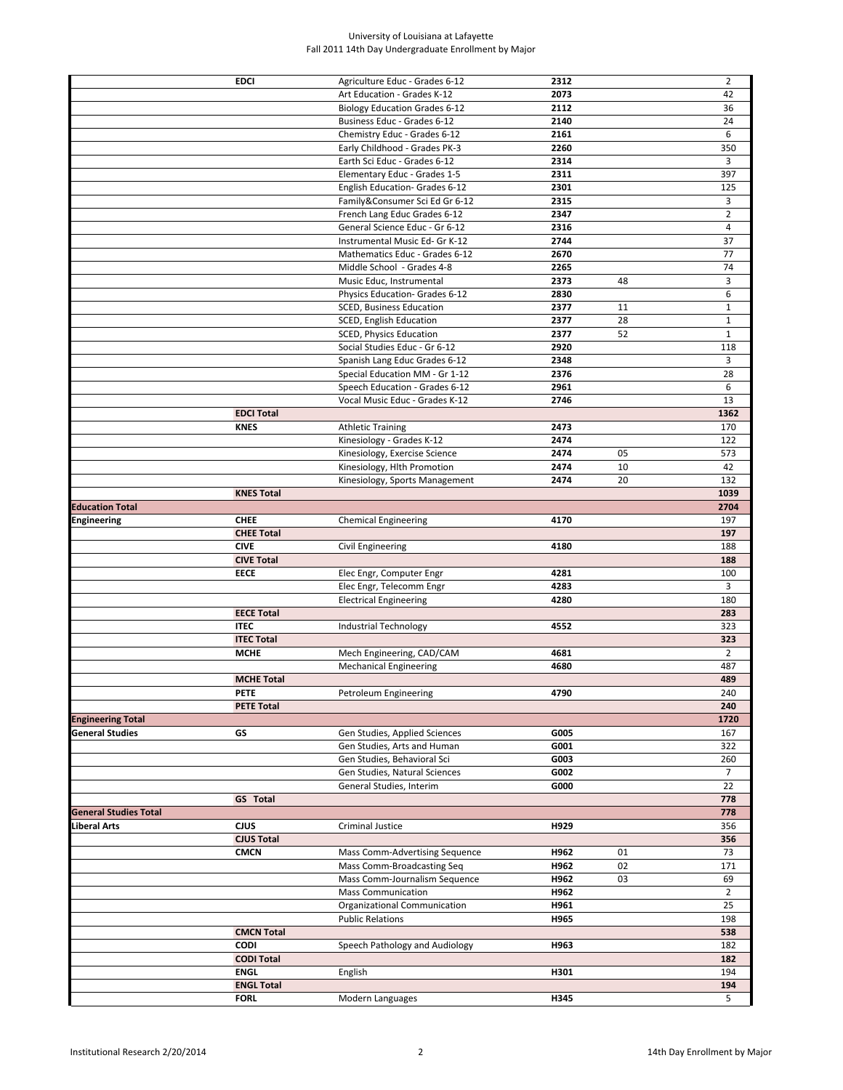|                              | <b>EDCI</b>                      | Agriculture Educ - Grades 6-12       | 2312 |    | $\overline{2}$ |
|------------------------------|----------------------------------|--------------------------------------|------|----|----------------|
|                              |                                  |                                      |      |    |                |
|                              |                                  | Art Education - Grades K-12          | 2073 |    | 42             |
|                              |                                  | <b>Biology Education Grades 6-12</b> | 2112 |    | 36             |
|                              |                                  | Business Educ - Grades 6-12          | 2140 |    | 24             |
|                              |                                  | Chemistry Educ - Grades 6-12         | 2161 |    | 6              |
|                              |                                  | Early Childhood - Grades PK-3        | 2260 |    | 350            |
|                              |                                  | Earth Sci Educ - Grades 6-12         | 2314 |    | 3              |
|                              |                                  |                                      | 2311 |    | 397            |
|                              |                                  | Elementary Educ - Grades 1-5         |      |    |                |
|                              |                                  | English Education- Grades 6-12       | 2301 |    | 125            |
|                              |                                  | Family&Consumer Sci Ed Gr 6-12       | 2315 |    | 3              |
|                              |                                  | French Lang Educ Grades 6-12         | 2347 |    | $\overline{2}$ |
|                              |                                  | General Science Educ - Gr 6-12       | 2316 |    | $\overline{4}$ |
|                              |                                  | Instrumental Music Ed- Gr K-12       | 2744 |    | 37             |
|                              |                                  | Mathematics Educ - Grades 6-12       | 2670 |    | 77             |
|                              |                                  |                                      |      |    | 74             |
|                              |                                  | Middle School - Grades 4-8           | 2265 |    |                |
|                              |                                  | Music Educ, Instrumental             | 2373 | 48 | 3              |
|                              |                                  | Physics Education- Grades 6-12       | 2830 |    | 6              |
|                              |                                  | SCED, Business Education             | 2377 | 11 | $\mathbf{1}$   |
|                              |                                  | SCED, English Education              | 2377 | 28 | $\mathbf 1$    |
|                              |                                  | SCED, Physics Education              | 2377 | 52 | $\mathbf{1}$   |
|                              |                                  | Social Studies Educ - Gr 6-12        | 2920 |    | 118            |
|                              |                                  | Spanish Lang Educ Grades 6-12        | 2348 |    | 3              |
|                              |                                  |                                      |      |    |                |
|                              |                                  | Special Education MM - Gr 1-12       | 2376 |    | 28             |
|                              |                                  | Speech Education - Grades 6-12       | 2961 |    | 6              |
|                              |                                  | Vocal Music Educ - Grades K-12       | 2746 |    | 13             |
|                              | <b>EDCI Total</b>                |                                      |      |    | 1362           |
|                              | <b>KNES</b>                      | <b>Athletic Training</b>             | 2473 |    | 170            |
|                              |                                  | Kinesiology - Grades K-12            | 2474 |    | 122            |
|                              |                                  | Kinesiology, Exercise Science        | 2474 | 05 | 573            |
|                              |                                  |                                      | 2474 | 10 | 42             |
|                              |                                  | Kinesiology, Hlth Promotion          |      |    |                |
|                              |                                  | Kinesiology, Sports Management       | 2474 | 20 | 132            |
|                              | <b>KNES Total</b>                |                                      |      |    | 1039           |
| <b>Education Total</b>       |                                  |                                      |      |    | 2704           |
| Engineering                  | <b>CHEE</b>                      | <b>Chemical Engineering</b>          | 4170 |    | 197            |
|                              | <b>CHEE Total</b>                |                                      |      |    | 197            |
|                              | <b>CIVE</b>                      | Civil Engineering                    | 4180 |    | 188            |
|                              | <b>CIVE Total</b>                |                                      |      |    | 188            |
|                              |                                  |                                      |      |    |                |
|                              | <b>EECE</b>                      | Elec Engr, Computer Engr             | 4281 |    | 100            |
|                              |                                  | Elec Engr, Telecomm Engr             | 4283 |    | 3              |
|                              |                                  | <b>Electrical Engineering</b>        | 4280 |    | 180            |
|                              | <b>EECE Total</b>                |                                      |      |    | 283            |
|                              | <b>ITEC</b>                      | Industrial Technology                |      |    | 323            |
|                              |                                  |                                      | 4552 |    |                |
|                              |                                  |                                      |      |    |                |
|                              | <b>ITEC Total</b>                |                                      |      |    | 323            |
|                              | <b>MCHE</b>                      | Mech Engineering, CAD/CAM            | 4681 |    | $\overline{2}$ |
|                              |                                  | <b>Mechanical Engineering</b>        | 4680 |    | 487            |
|                              | <b>MCHE Total</b>                |                                      |      |    | 489            |
|                              | PETE                             | Petroleum Engineering                | 4790 |    | 240            |
|                              | <b>PETE Total</b>                |                                      |      |    | 240            |
| <b>Engineering Total</b>     |                                  |                                      |      |    | 1720           |
| <b>General Studies</b>       | GS                               | Gen Studies, Applied Sciences        | G005 |    | 167            |
|                              |                                  | Gen Studies, Arts and Human          | G001 |    | 322            |
|                              |                                  |                                      |      |    |                |
|                              |                                  | Gen Studies, Behavioral Sci          | G003 |    | 260            |
|                              |                                  | Gen Studies, Natural Sciences        | G002 |    | 7              |
|                              |                                  | General Studies, Interim             | G000 |    | 22             |
|                              | <b>GS</b> Total                  |                                      |      |    | 778            |
| <b>General Studies Total</b> |                                  |                                      |      |    | 778            |
| Liberal Arts                 | CJUS                             | <b>Criminal Justice</b>              | H929 |    | 356            |
|                              | <b>CJUS Total</b>                |                                      |      |    | 356            |
|                              | <b>CMCN</b>                      | Mass Comm-Advertising Sequence       | H962 | 01 | 73             |
|                              |                                  |                                      |      |    |                |
|                              |                                  | Mass Comm-Broadcasting Seq           | H962 | 02 | 171            |
|                              |                                  | Mass Comm-Journalism Sequence        | H962 | 03 | 69             |
|                              |                                  | <b>Mass Communication</b>            | H962 |    | $\overline{2}$ |
|                              |                                  | Organizational Communication         | H961 |    | 25             |
|                              |                                  | <b>Public Relations</b>              | H965 |    | 198            |
|                              | <b>CMCN Total</b>                |                                      |      |    | 538            |
|                              | <b>CODI</b>                      | Speech Pathology and Audiology       | H963 |    | 182            |
|                              | <b>CODI Total</b>                |                                      |      |    | 182            |
|                              | <b>ENGL</b>                      |                                      | H301 |    | 194            |
|                              |                                  | English                              |      |    |                |
|                              | <b>ENGL Total</b><br><b>FORL</b> | Modern Languages                     | H345 |    | 194<br>5       |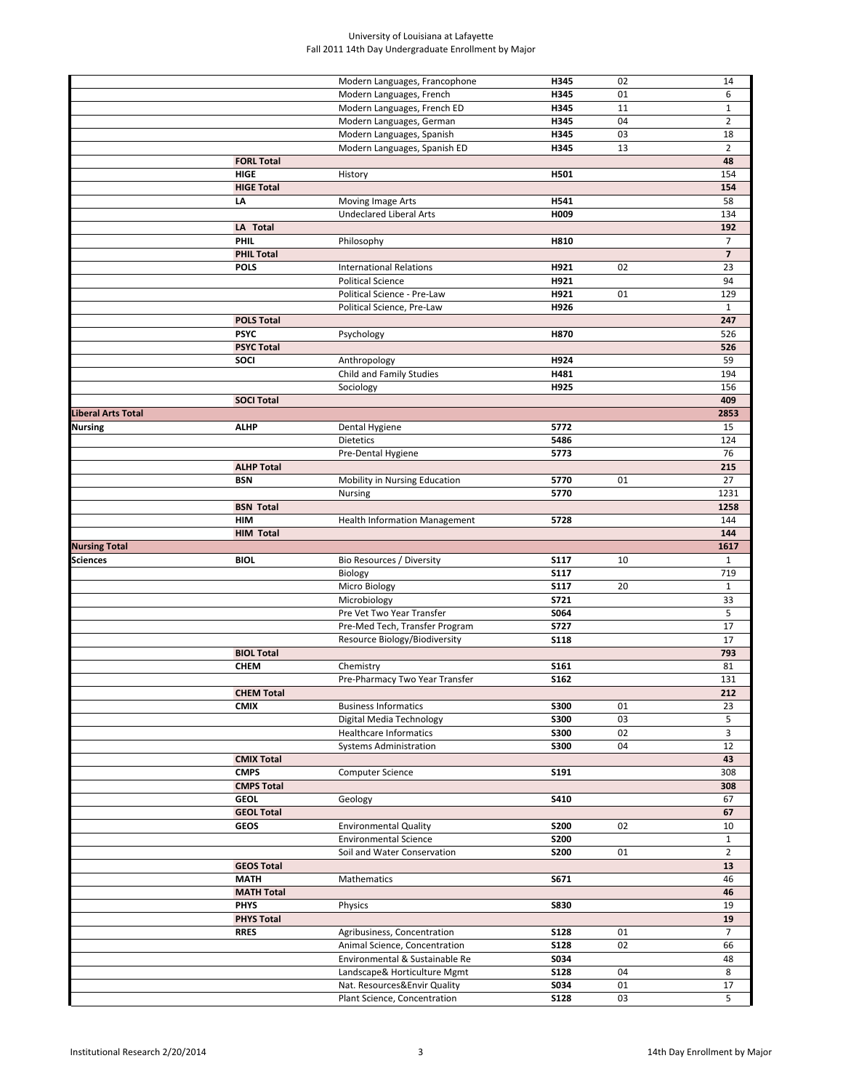|                      |                   |                                                              | H345                       |          | 14             |
|----------------------|-------------------|--------------------------------------------------------------|----------------------------|----------|----------------|
|                      |                   | Modern Languages, Francophone                                |                            | 02       |                |
|                      |                   | Modern Languages, French                                     | H345                       | 01       | 6              |
|                      |                   | Modern Languages, French ED                                  | H345                       | 11       | $\mathbf{1}$   |
|                      |                   | Modern Languages, German                                     | H345                       | 04       | $\overline{2}$ |
|                      |                   | Modern Languages, Spanish                                    | H345                       | 03       | 18             |
|                      |                   | Modern Languages, Spanish ED                                 | H345                       | 13       | $\overline{2}$ |
|                      | <b>FORL Total</b> |                                                              |                            |          | 48             |
|                      | <b>HIGE</b>       | History                                                      | H501                       |          | 154            |
|                      | <b>HIGE Total</b> |                                                              |                            |          | 154            |
|                      | LA                | Moving Image Arts                                            | H541                       |          | 58             |
|                      |                   | <b>Undeclared Liberal Arts</b>                               | H009                       |          | 134            |
|                      | LA Total          |                                                              |                            |          | 192            |
|                      | <b>PHIL</b>       | Philosophy                                                   |                            |          |                |
|                      |                   |                                                              | H810                       |          | 7              |
|                      | <b>PHIL Total</b> |                                                              |                            |          | $\overline{7}$ |
|                      | <b>POLS</b>       | <b>International Relations</b>                               | H921                       | 02       | 23             |
|                      |                   | <b>Political Science</b>                                     | H921                       |          | 94             |
|                      |                   | Political Science - Pre-Law                                  | H921                       | 01       | 129            |
|                      |                   | Political Science, Pre-Law                                   | H926                       |          | $\mathbf{1}$   |
|                      | <b>POLS Total</b> |                                                              |                            |          | 247            |
|                      | <b>PSYC</b>       | Psychology                                                   | H870                       |          | 526            |
|                      | <b>PSYC Total</b> |                                                              |                            |          | 526            |
|                      | <b>SOCI</b>       | Anthropology                                                 | H924                       |          | 59             |
|                      |                   | Child and Family Studies                                     | H481                       |          | 194            |
|                      |                   | Sociology                                                    | H925                       |          | 156            |
|                      | <b>SOCI Total</b> |                                                              |                            |          | 409            |
|                      |                   |                                                              |                            |          |                |
| Liberal Arts Total   |                   |                                                              |                            |          | 2853           |
| Nursing              | <b>ALHP</b>       | Dental Hygiene                                               | 5772                       |          | 15             |
|                      |                   | Dietetics                                                    | 5486                       |          | 124            |
|                      |                   | Pre-Dental Hygiene                                           | 5773                       |          | 76             |
|                      | <b>ALHP Total</b> |                                                              |                            |          | 215            |
|                      | <b>BSN</b>        | Mobility in Nursing Education                                | 5770                       | 01       | 27             |
|                      |                   | Nursing                                                      | 5770                       |          | 1231           |
|                      | <b>BSN Total</b>  |                                                              |                            |          | 1258           |
|                      | HIM               | <b>Health Information Management</b>                         | 5728                       |          | 144            |
|                      | <b>HIM Total</b>  |                                                              |                            |          | 144            |
| <b>Nursing Total</b> |                   |                                                              |                            |          | 1617           |
|                      |                   |                                                              |                            |          |                |
| Sciences             | <b>BIOL</b>       | Bio Resources / Diversity                                    | <b>S117</b>                | 10       | $\mathbf{1}$   |
|                      |                   | Biology                                                      | <b>S117</b>                |          | 719            |
|                      |                   | Micro Biology                                                | <b>S117</b>                | 20       | $\mathbf{1}$   |
|                      |                   | Microbiology                                                 | S721                       |          | 33             |
|                      |                   | Pre Vet Two Year Transfer                                    | S064                       |          | 5              |
|                      |                   | Pre-Med Tech, Transfer Program                               | <b>S727</b>                |          | 17             |
|                      |                   | Resource Biology/Biodiversity                                | <b>S118</b>                |          | 17             |
|                      | <b>BIOL Total</b> |                                                              |                            |          | 793            |
|                      | <b>CHEM</b>       | Chemistry                                                    | S161                       |          | 81             |
|                      |                   | Pre-Pharmacy Two Year Transfer                               | <b>S162</b>                |          | 131            |
|                      | <b>CHEM Total</b> |                                                              |                            |          | 212            |
|                      |                   |                                                              |                            |          |                |
|                      | <b>CMIX</b>       | <b>Business Informatics</b>                                  | <b>S300</b>                | 01       | 23             |
|                      |                   | Digital Media Technology                                     | <b>S300</b>                | 03       | 5              |
|                      |                   | Healthcare Informatics                                       | <b>S300</b>                | 02       | 3              |
|                      |                   | <b>Systems Administration</b>                                | <b>S300</b>                | 04       | 12             |
|                      | <b>CMIX Total</b> |                                                              |                            |          | 43             |
|                      | <b>CMPS</b>       | Computer Science                                             | S191                       |          | 308            |
|                      |                   |                                                              |                            |          | 308            |
|                      | <b>CMPS Total</b> |                                                              |                            |          |                |
|                      | <b>GEOL</b>       | Geology                                                      | S410                       |          | 67             |
|                      | <b>GEOL Total</b> |                                                              |                            |          | 67             |
|                      |                   |                                                              |                            |          |                |
|                      | <b>GEOS</b>       | <b>Environmental Quality</b>                                 | <b>S200</b>                | 02       | 10             |
|                      |                   | <b>Environmental Science</b>                                 | <b>S200</b>                |          | $\mathbf{1}$   |
|                      |                   | Soil and Water Conservation                                  | <b>S200</b>                | 01       | $\overline{2}$ |
|                      | <b>GEOS Total</b> |                                                              |                            |          | 13             |
|                      | <b>MATH</b>       | Mathematics                                                  | S671                       |          | 46             |
|                      | <b>MATH Total</b> |                                                              |                            |          | 46             |
|                      | <b>PHYS</b>       | Physics                                                      | <b>S830</b>                |          | 19             |
|                      | <b>PHYS Total</b> |                                                              |                            |          | 19             |
|                      | <b>RRES</b>       | Agribusiness, Concentration                                  | <b>S128</b>                | 01       | 7              |
|                      |                   | Animal Science, Concentration                                | <b>S128</b>                | 02       | 66             |
|                      |                   | Environmental & Sustainable Re                               |                            |          | 48             |
|                      |                   |                                                              | S034                       |          |                |
|                      |                   | Landscape& Horticulture Mgmt                                 | <b>S128</b>                | 04       | 8              |
|                      |                   | Nat. Resources&Envir Quality<br>Plant Science, Concentration | <b>S034</b><br><b>S128</b> | 01<br>03 | 17<br>5        |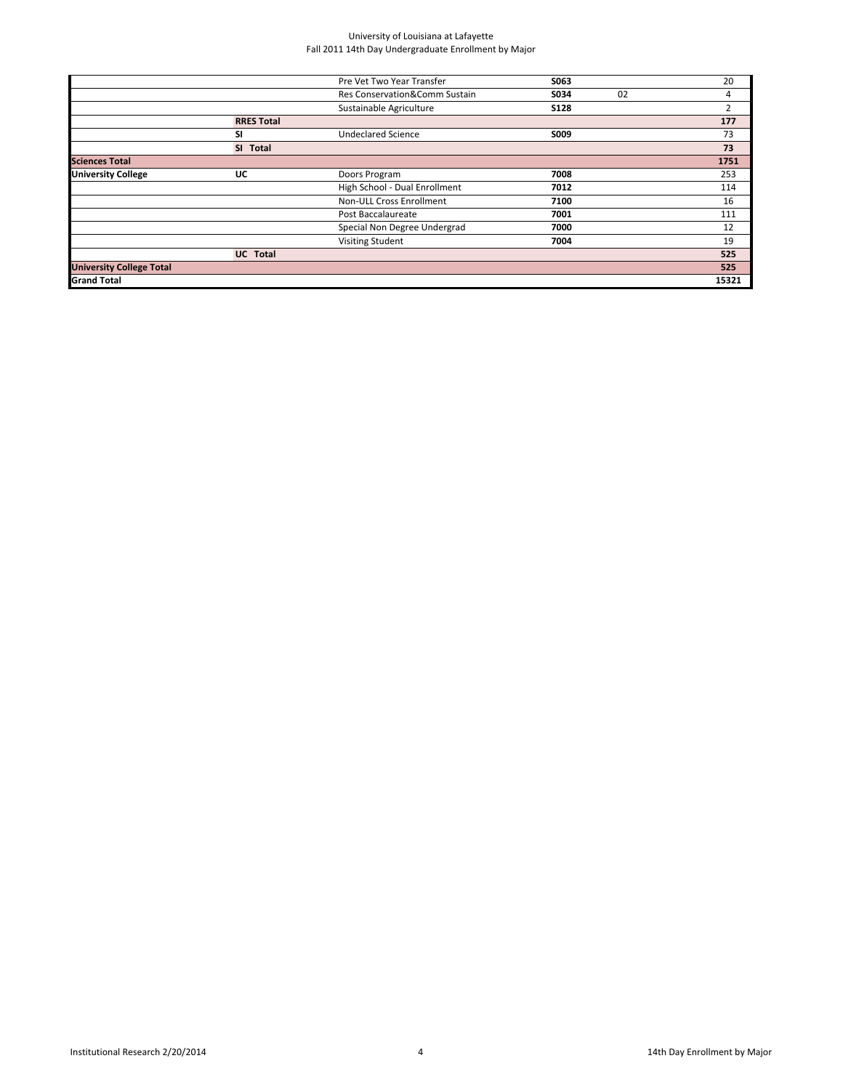|                                 |                   | Pre Vet Two Year Transfer     | S063        |    | 20    |
|---------------------------------|-------------------|-------------------------------|-------------|----|-------|
|                                 |                   | Res Conservation&Comm Sustain | S034        | 02 | 4     |
|                                 |                   | Sustainable Agriculture       | <b>S128</b> |    | 2     |
|                                 | <b>RRES Total</b> |                               |             |    | 177   |
|                                 | SI                | <b>Undeclared Science</b>     | S009        |    | 73    |
|                                 | SI Total          |                               |             |    | 73    |
| <b>Sciences Total</b>           |                   |                               |             |    | 1751  |
| <b>University College</b>       | UC                | Doors Program                 | 7008        |    | 253   |
|                                 |                   | High School - Dual Enrollment | 7012        |    | 114   |
|                                 |                   | Non-ULL Cross Enrollment      | 7100        |    | 16    |
|                                 |                   | Post Baccalaureate            | 7001        |    | 111   |
|                                 |                   | Special Non Degree Undergrad  | 7000        |    | 12    |
|                                 |                   | <b>Visiting Student</b>       | 7004        |    | 19    |
|                                 | <b>UC</b> Total   |                               |             |    | 525   |
| <b>University College Total</b> |                   |                               |             |    | 525   |
| <b>Grand Total</b>              |                   |                               |             |    | 15321 |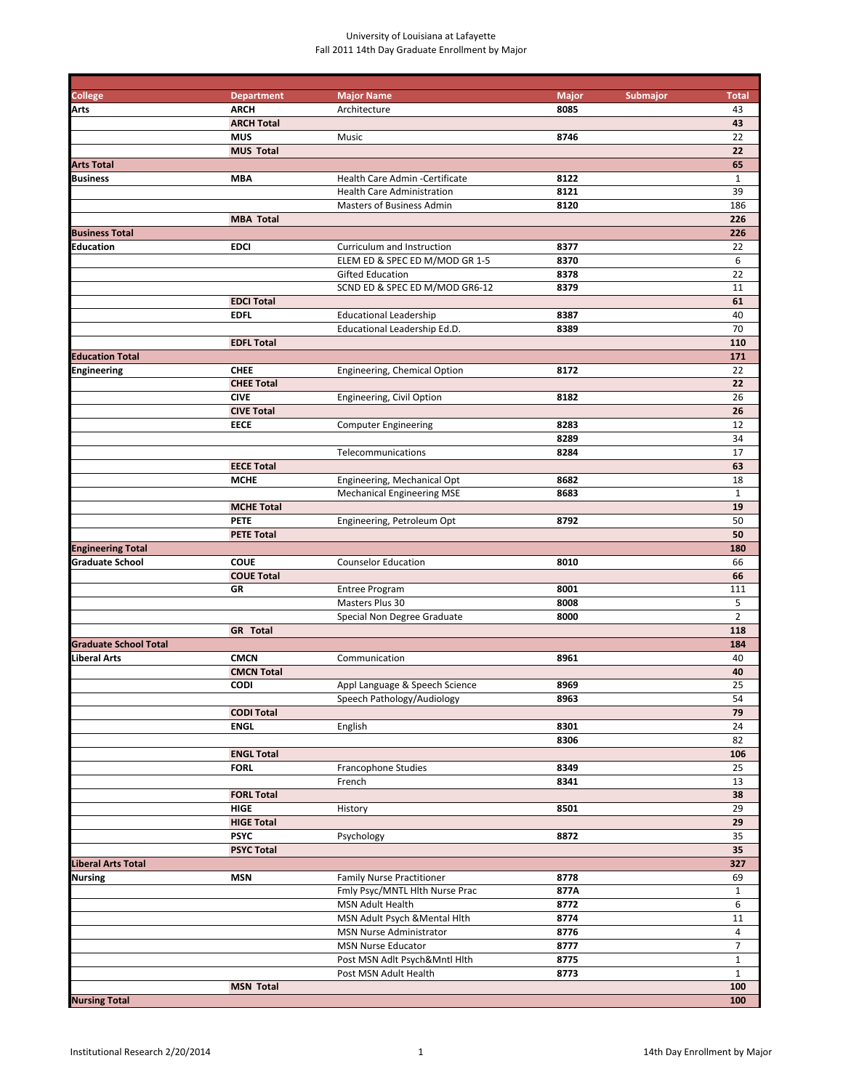| <b>College</b>               | <b>Department</b> | <b>Major Name</b>                 | <b>Major</b><br>Submajor | <b>Total</b>   |
|------------------------------|-------------------|-----------------------------------|--------------------------|----------------|
| <b>Arts</b>                  | <b>ARCH</b>       | Architecture                      | 8085                     | 43             |
|                              | <b>ARCH Total</b> |                                   |                          | 43             |
|                              | <b>MUS</b>        | Music                             | 8746                     | 22             |
|                              | <b>MUS Total</b>  |                                   |                          | 22             |
| <b>Arts Total</b>            |                   |                                   |                          | 65             |
| <b>Business</b>              | <b>MBA</b>        | Health Care Admin - Certificate   | 8122                     | $\mathbf{1}$   |
|                              |                   | <b>Health Care Administration</b> | 8121                     | 39             |
|                              |                   | Masters of Business Admin         | 8120                     | 186            |
|                              | <b>MBA Total</b>  |                                   |                          | 226            |
| <b>Business Total</b>        |                   |                                   |                          | 226            |
| Education                    | <b>EDCI</b>       | Curriculum and Instruction        | 8377                     | 22             |
|                              |                   | ELEM ED & SPEC ED M/MOD GR 1-5    | 8370                     | 6              |
|                              |                   | Gifted Education                  | 8378                     | 22             |
|                              |                   | SCND ED & SPEC ED M/MOD GR6-12    | 8379                     | 11             |
|                              | <b>EDCI Total</b> |                                   |                          | 61             |
|                              |                   |                                   |                          |                |
|                              | <b>EDFL</b>       | <b>Educational Leadership</b>     | 8387                     | 40             |
|                              |                   | Educational Leadership Ed.D.      | 8389                     | 70             |
|                              | <b>EDFL Total</b> |                                   |                          | 110            |
| <b>Education Total</b>       |                   |                                   |                          | 171            |
| Engineering                  | <b>CHEE</b>       | Engineering, Chemical Option      | 8172                     | 22             |
|                              | <b>CHEE Total</b> |                                   |                          | 22             |
|                              | <b>CIVE</b>       | Engineering, Civil Option         | 8182                     | 26             |
|                              | <b>CIVE Total</b> |                                   |                          | 26             |
|                              | <b>EECE</b>       | <b>Computer Engineering</b>       | 8283                     | 12             |
|                              |                   |                                   | 8289                     | 34             |
|                              |                   | Telecommunications                | 8284                     | 17             |
|                              | <b>EECE Total</b> |                                   |                          | 63             |
|                              | <b>MCHE</b>       | Engineering, Mechanical Opt       | 8682                     | 18             |
|                              |                   | <b>Mechanical Engineering MSE</b> | 8683                     | $\mathbf{1}$   |
|                              | <b>MCHE Total</b> |                                   |                          | 19             |
|                              | <b>PETE</b>       | Engineering, Petroleum Opt        | 8792                     | 50             |
|                              | <b>PETE Total</b> |                                   |                          | 50             |
| <b>Engineering Total</b>     |                   |                                   |                          | 180            |
| <b>Graduate School</b>       | <b>COUE</b>       | <b>Counselor Education</b>        | 8010                     | 66             |
|                              | <b>COUE Total</b> |                                   |                          | 66             |
|                              | GR                | <b>Entree Program</b>             | 8001                     | 111            |
|                              |                   | Masters Plus 30                   | 8008                     | 5              |
|                              |                   |                                   |                          | $\overline{2}$ |
|                              |                   | Special Non Degree Graduate       | 8000                     |                |
|                              | <b>GR</b> Total   |                                   |                          | 118            |
| <b>Graduate School Total</b> |                   |                                   |                          | 184            |
| Liberal Arts                 | <b>CMCN</b>       | Communication                     | 8961                     | 40             |
|                              | <b>CMCN Total</b> |                                   |                          | 40             |
|                              | <b>CODI</b>       | Appl Language & Speech Science    | 8969                     | 25             |
|                              |                   | Speech Pathology/Audiology        | 8963                     | 54             |
|                              | <b>CODI Total</b> |                                   |                          | 79             |
|                              | <b>ENGL</b>       | English                           | 8301                     | 24             |
|                              |                   |                                   | 8306                     | 82             |
|                              | <b>ENGL Total</b> |                                   |                          | 106            |
|                              | <b>FORL</b>       | <b>Francophone Studies</b>        | 8349                     | 25             |
|                              |                   | French                            | 8341                     | 13             |
|                              | <b>FORL Total</b> |                                   |                          | 38             |
|                              | <b>HIGE</b>       | History                           | 8501                     | 29             |
|                              | <b>HIGE Total</b> |                                   |                          | 29             |
|                              | <b>PSYC</b>       | Psychology                        | 8872                     | 35             |
|                              | <b>PSYC Total</b> |                                   |                          | 35             |
| <b>Liberal Arts Total</b>    |                   |                                   |                          | 327            |
| <b>Nursing</b>               | <b>MSN</b>        | <b>Family Nurse Practitioner</b>  | 8778                     | 69             |
|                              |                   |                                   | 877A                     | $\mathbf{1}$   |
|                              |                   | Fmly Psyc/MNTL Hith Nurse Prac    |                          |                |
|                              |                   | MSN Adult Health                  | 8772                     | 6              |
|                              |                   | MSN Adult Psych & Mental Hith     | 8774                     | 11             |
|                              |                   | MSN Nurse Administrator           | 8776                     | 4              |
|                              |                   | MSN Nurse Educator                | 8777                     | $\overline{7}$ |
|                              |                   | Post MSN Adlt Psych&Mntl Hlth     | 8775                     | $\mathbf{1}$   |
|                              |                   | Post MSN Adult Health             | 8773                     | $\mathbf{1}$   |
|                              | <b>MSN Total</b>  |                                   |                          | 100            |
| <b>Nursing Total</b>         |                   |                                   |                          | 100            |